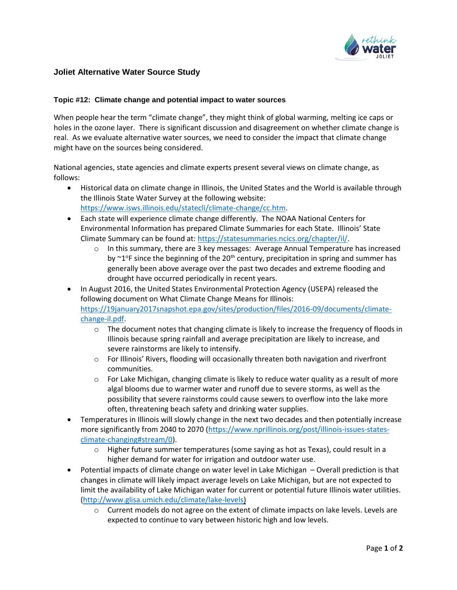

## **Joliet Alternative Water Source Study**

## **Topic #12: Climate change and potential impact to water sources**

When people hear the term "climate change", they might think of global warming, melting ice caps or holes in the ozone layer. There is significant discussion and disagreement on whether climate change is real. As we evaluate alternative water sources, we need to consider the impact that climate change might have on the sources being considered.

National agencies, state agencies and climate experts present several views on climate change, as follows:

- Historical data on climate change in Illinois, the United States and the World is available through the Illinois State Water Survey at the following website: [https://www.isws.illinois.edu/statecli/climate-change/cc.htm.](https://url3.mailanyone.net/v1/?m=1i5slk-0005cW-3E&i=57e1b682&c=PSIGDax8Q-hbava6c_5YoqIh4MHC2-eJ8N9vuAJugCbeaJpS04A2EJOVKvJOHCyJqszXWS9e-b3yUuBmCJaCwBu2S4IhEbfg6qTqslRbcvTQ7AisIVXKaUV_woDvSM7QcOL7gicC_WoRWD4WzrRHMPuA4bhel_zf2T1gzHsTR4VDqJwvgXgWEoQBc3cp7_OAlgrZPdcLGf53IbFUpS-FAbqnUXl5wpy4XL27C_kosuQkmUvZiYz20dvwkK2ua8uG3KPjw5ssQ1AJwGqSlWgD9w)
- Each state will experience climate change differently. The NOAA National Centers for Environmental Information has prepared Climate Summaries for each State. Illinois' State Climate Summary can be found at: [https://statesummaries.ncics.org/chapter/il/.](https://url3.mailanyone.net/v1/?m=1i5slk-0005cW-3E&i=57e1b682&c=hAfrvUnwNk9i-CW7w_7Rm21B0U7MHbP8A-WeRkrwVfayV1A09wR1fErbuMwEHXl7TJK3IagAC3ueip10L7zbdKN6q0gjfKcAUliuC8uazVGTSlbaVE-o_HijsjiItI6icIz1F4XdpRrC_ze1c5kB1qiHq1wnglpb_GlR3F8fXma19zx65eeHsO9b19ke-mIuNhp8Sb6eXMDLrXPNFyOsyXj-NFu5CYf67IkyB3HRe7BIzS0cWEBIwncCmk9VWIe5)
	- o In this summary, there are 3 key messages: Average Annual Temperature has increased by  $\sim$ 1°F since the beginning of the 20<sup>th</sup> century, precipitation in spring and summer has generally been above average over the past two decades and extreme flooding and drought have occurred periodically in recent years.
- In August 2016, the United States Environmental Protection Agency (USEPA) released the following document on What Climate Change Means for Illinois: [https://19january2017snapshot.epa.gov/sites/production/files/2016-09/documents/climate](https://url3.mailanyone.net/v1/?m=1i5slk-0005cW-3E&i=57e1b682&c=IpTFV47_zNVYz2o2kEEgZgg0MiVAKAOv3Xk1HoprSK41-bUunR67LKhTNbUsm3xKcVRFYKwSJSJM-3DuGAGkIof_77loBeyLi1gCVjsGni1rHu_FNPpHi5LWeKkRSN0TxhGAB9_HtqUFKPi7S3azS8BBjWKOIX6kZC0muo1ddfUXwEqW4F_e8TzokjqPFwCvkx-VUxUjUqeLBXuvszxBNBXJKALCa2agdZHozSU3xUwvtsf8b_q0-qbQwj3QNF36CZUy0HdhpKv1Y5UuUnH-u1xISbATb0p5X2U0ZAbCkHrLdww71gTG6tRmJAAoF6GacAN0AC_DxENvcC-zCuAX8A)[change-il.pdf.](https://url3.mailanyone.net/v1/?m=1i5slk-0005cW-3E&i=57e1b682&c=IpTFV47_zNVYz2o2kEEgZgg0MiVAKAOv3Xk1HoprSK41-bUunR67LKhTNbUsm3xKcVRFYKwSJSJM-3DuGAGkIof_77loBeyLi1gCVjsGni1rHu_FNPpHi5LWeKkRSN0TxhGAB9_HtqUFKPi7S3azS8BBjWKOIX6kZC0muo1ddfUXwEqW4F_e8TzokjqPFwCvkx-VUxUjUqeLBXuvszxBNBXJKALCa2agdZHozSU3xUwvtsf8b_q0-qbQwj3QNF36CZUy0HdhpKv1Y5UuUnH-u1xISbATb0p5X2U0ZAbCkHrLdww71gTG6tRmJAAoF6GacAN0AC_DxENvcC-zCuAX8A)
	- $\circ$  The document notes that changing climate is likely to increase the frequency of floods in Illinois because spring rainfall and average precipitation are likely to increase, and severe rainstorms are likely to intensify.
	- o For Illinois' Rivers, flooding will occasionally threaten both navigation and riverfront communities.
	- $\circ$  For Lake Michigan, changing climate is likely to reduce water quality as a result of more algal blooms due to warmer water and runoff due to severe storms, as well as the possibility that severe rainstorms could cause sewers to overflow into the lake more often, threatening beach safety and drinking water supplies.
- Temperatures in Illinois will slowly change in the next two decades and then potentially increase more significantly from 2040 to 2070 [\(https://www.nprillinois.org/post/illinois-issues-states](https://url3.mailanyone.net/v1/?m=1i5slk-0005cW-3E&i=57e1b682&c=NhdljSaurj8M0CIv8lwaaiKi8OEKG55BmklmOZzKl8OattjPmpW6WEfleUIoSwHgFbQ-pEAtYON5dfsFrJu37hgEWOxdjSKtMeW3kNyvUzrXMi9dkwcNVmJdcr9zCrRiP54n98G805fBgP21fLbII_PQWQmdFCNqgLOX8X1Fr4YvfzHW2iGJvWvdjAN79mn-H8-FPHu6E94KmpCi7mqgUZa2L3T5To7bli_KDK_4_MF0WJc1tOtzqrBqizRKrILOIq4S-VP3ImmuPHomB-_ErohoXd_5tsvxzRzZhyS5yvM)[climate-changing#stream/0\)](https://url3.mailanyone.net/v1/?m=1i5slk-0005cW-3E&i=57e1b682&c=NhdljSaurj8M0CIv8lwaaiKi8OEKG55BmklmOZzKl8OattjPmpW6WEfleUIoSwHgFbQ-pEAtYON5dfsFrJu37hgEWOxdjSKtMeW3kNyvUzrXMi9dkwcNVmJdcr9zCrRiP54n98G805fBgP21fLbII_PQWQmdFCNqgLOX8X1Fr4YvfzHW2iGJvWvdjAN79mn-H8-FPHu6E94KmpCi7mqgUZa2L3T5To7bli_KDK_4_MF0WJc1tOtzqrBqizRKrILOIq4S-VP3ImmuPHomB-_ErohoXd_5tsvxzRzZhyS5yvM).
	- $\circ$  Higher future summer temperatures (some saying as hot as Texas), could result in a higher demand for water for irrigation and outdoor water use.
- Potential impacts of climate change on water level in Lake Michigan Overall prediction is that changes in climate will likely impact average levels on Lake Michigan, but are not expected to limit the availability of Lake Michigan water for current or potential future Illinois water utilities. [\(http://www.glisa.umich.edu/climate/lake-levels\)](https://url3.mailanyone.net/v1/?m=1i5slk-0005cW-3E&i=57e1b682&c=btWFE3NVzO8NUUrftGMhkAzxX3UHnV--ytkDunkOGSA4pCRONK270wYEuNhsnCZ2zc4XJDg-vwh-j0OUMmvmRiEVgbRInBmAFH94XFs9t4r7bsdns2TbC1ao7BbMXBPC3hqlf699FM_URakLCVE74zt_87pypUUiBsLcib9t2dyJNq4xyDiBdGcdmo8nkKdad6cZVeCSGOH6WXUlRgc7Tu-zJ8SlImDQO1AHGeaiOJeDA4l80Raste7KpdfHsg6S)
	- o Current models do not agree on the extent of climate impacts on lake levels. Levels are expected to continue to vary between historic high and low levels.